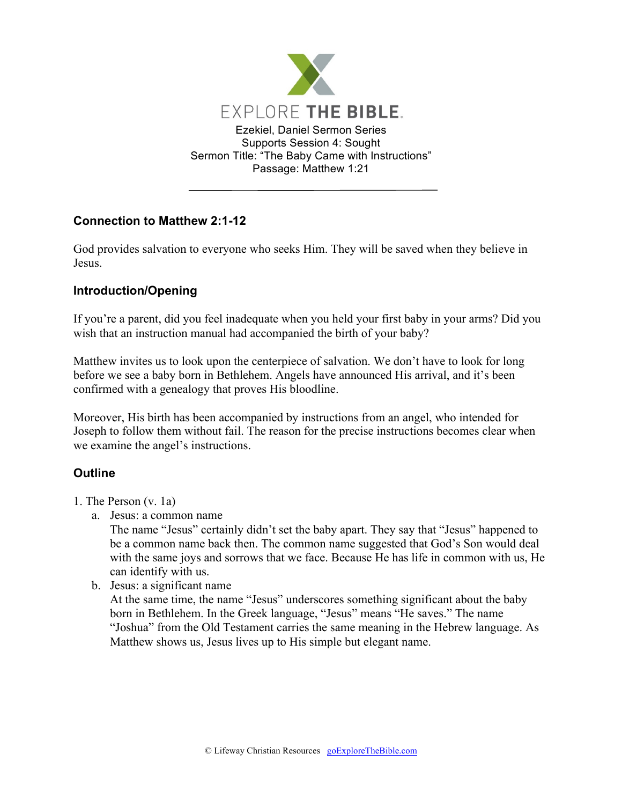

# **Connection to Matthew 2:1-12**

God provides salvation to everyone who seeks Him. They will be saved when they believe in Jesus.

# **Introduction/Opening**

If you're a parent, did you feel inadequate when you held your first baby in your arms? Did you wish that an instruction manual had accompanied the birth of your baby?

Matthew invites us to look upon the centerpiece of salvation. We don't have to look for long before we see a baby born in Bethlehem. Angels have announced His arrival, and it's been confirmed with a genealogy that proves His bloodline.

Moreover, His birth has been accompanied by instructions from an angel, who intended for Joseph to follow them without fail. The reason for the precise instructions becomes clear when we examine the angel's instructions.

# **Outline**

- 1. The Person (v. 1a)
	- a. Jesus: a common name

The name "Jesus" certainly didn't set the baby apart. They say that "Jesus" happened to be a common name back then. The common name suggested that God's Son would deal with the same joys and sorrows that we face. Because He has life in common with us, He can identify with us.

b. Jesus: a significant name

At the same time, the name "Jesus" underscores something significant about the baby born in Bethlehem. In the Greek language, "Jesus" means "He saves." The name "Joshua" from the Old Testament carries the same meaning in the Hebrew language. As Matthew shows us, Jesus lives up to His simple but elegant name.